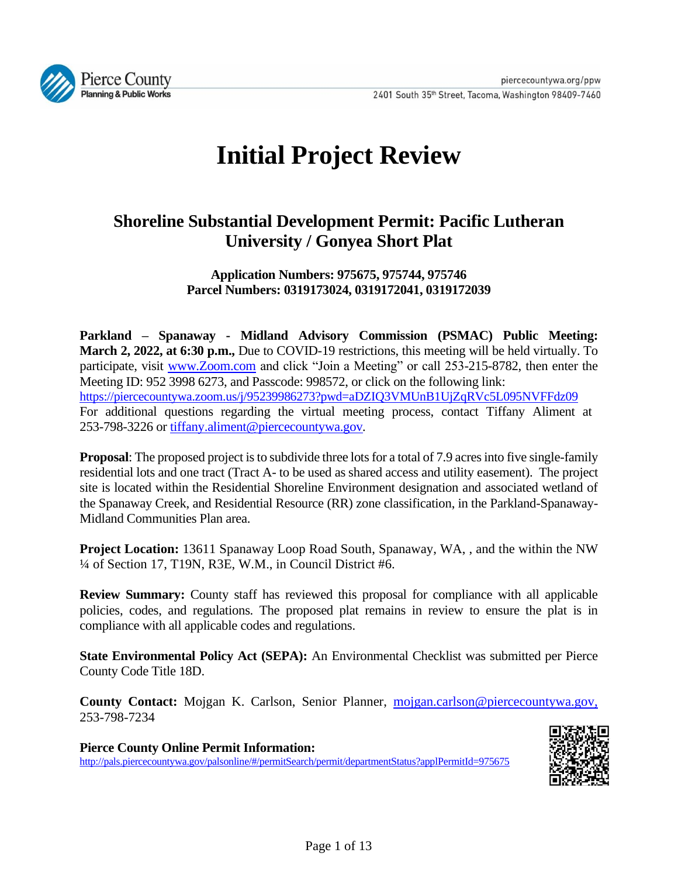

# **Initial Project Review**

# **Shoreline Substantial Development Permit: Pacific Lutheran University / Gonyea Short Plat**

**Application Numbers: 975675, 975744, 975746 Parcel Numbers: 0319173024, 0319172041, 0319172039**

**Parkland – Spanaway - Midland Advisory Commission (PSMAC) Public Meeting: March 2, 2022, at 6:30 p.m.,** Due to COVID-19 restrictions, this meeting will be held virtually. To participate, visit [www.Zoom.com](http://www.zoom.com/) and click "Join a Meeting" or call 253-215-8782, then enter the Meeting ID: 952 3998 6273, and Passcode: 998572, or click on the following link: <https://piercecountywa.zoom.us/j/95239986273?pwd=aDZIQ3VMUnB1UjZqRVc5L095NVFFdz09> For additional questions regarding the virtual meeting process, contact Tiffany Aliment at 253-798-3226 or [tiffany.aliment@piercecountywa.gov](mailto:tiffany.aliment@piercecountywa.gov)*.* 

**Proposal**: The proposed project is to subdivide three lots for a total of 7.9 acres into five single-family residential lots and one tract (Tract A- to be used as shared access and utility easement). The project site is located within the Residential Shoreline Environment designation and associated wetland of the Spanaway Creek, and Residential Resource (RR) zone classification, in the Parkland-Spanaway-Midland Communities Plan area.

**Project Location:** 13611 Spanaway Loop Road South, Spanaway, WA, , and the within the NW ¼ of Section 17, T19N, R3E, W.M., in Council District #6.

**Review Summary:** County staff has reviewed this proposal for compliance with all applicable policies, codes, and regulations. The proposed plat remains in review to ensure the plat is in compliance with all applicable codes and regulations.

**State Environmental Policy Act (SEPA):** An Environmental Checklist was submitted per Pierce County Code Title 18D.

**County Contact:** Mojgan K. Carlson, Senior Planner, [mojgan.carlson@piercecountywa.gov,](mailto:mojgan.carlson@piercecountywa.gov) 253-798-7234

**Pierce County Online Permit Information:** <http://pals.piercecountywa.gov/palsonline/#/permitSearch/permit/departmentStatus?applPermitId=975675>

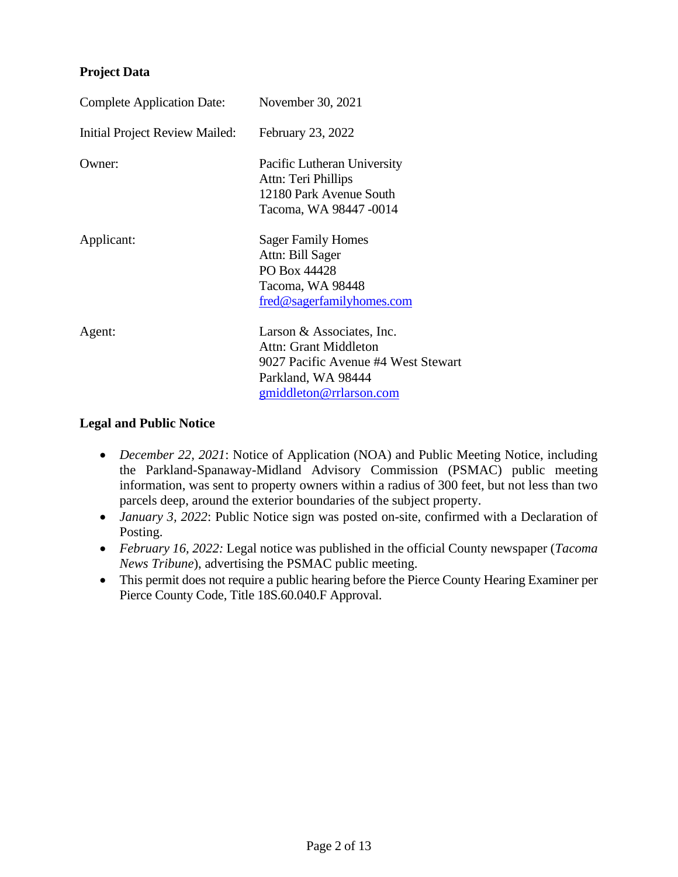#### **Project Data**

| <b>Complete Application Date:</b>     | November 30, 2021                                                                                                                          |
|---------------------------------------|--------------------------------------------------------------------------------------------------------------------------------------------|
| <b>Initial Project Review Mailed:</b> | February 23, 2022                                                                                                                          |
| Owner:                                | Pacific Lutheran University<br>Attn: Teri Phillips<br>12180 Park Avenue South<br>Tacoma, WA 98447 -0014                                    |
| Applicant:                            | <b>Sager Family Homes</b><br>Attn: Bill Sager<br>PO Box 44428<br>Tacoma, WA 98448<br>fred@sagerfamilyhomes.com                             |
| Agent:                                | Larson & Associates, Inc.<br>Attn: Grant Middleton<br>9027 Pacific Avenue #4 West Stewart<br>Parkland, WA 98444<br>gmiddleton@rrlarson.com |

#### **Legal and Public Notice**

- *December 22, 2021*: Notice of Application (NOA) and Public Meeting Notice, including the Parkland-Spanaway-Midland Advisory Commission (PSMAC) public meeting information, was sent to property owners within a radius of 300 feet, but not less than two parcels deep, around the exterior boundaries of the subject property.
- *January 3, 2022*: Public Notice sign was posted on-site, confirmed with a Declaration of Posting.
- *February 16, 2022:* Legal notice was published in the official County newspaper (*Tacoma News Tribune*), advertising the PSMAC public meeting.
- This permit does not require a public hearing before the Pierce County Hearing Examiner per Pierce County Code, Title 18S.60.040.F Approval.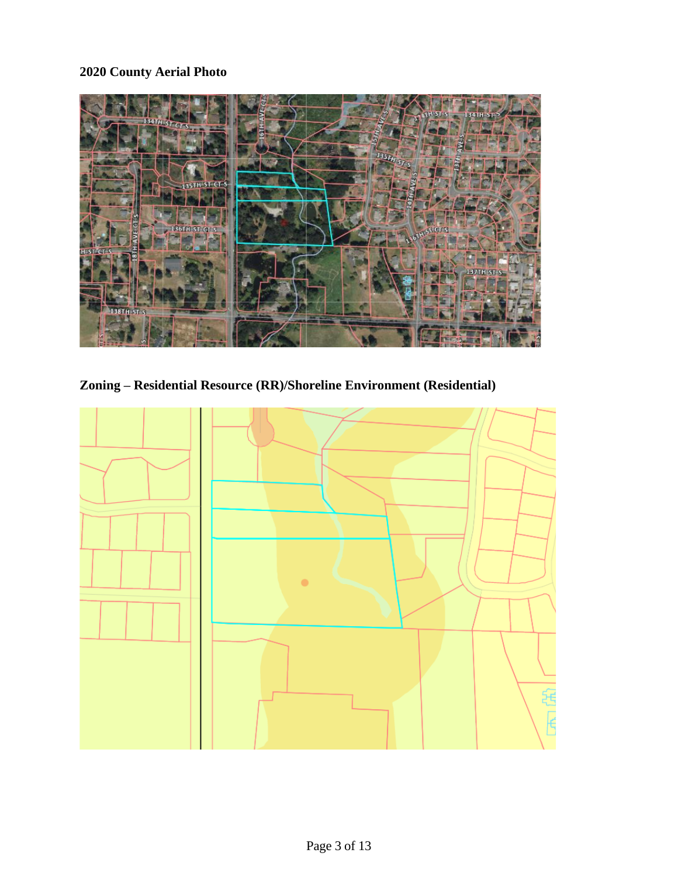# **2020 County Aerial Photo**



**Zoning – Residential Resource (RR)/Shoreline Environment (Residential)**

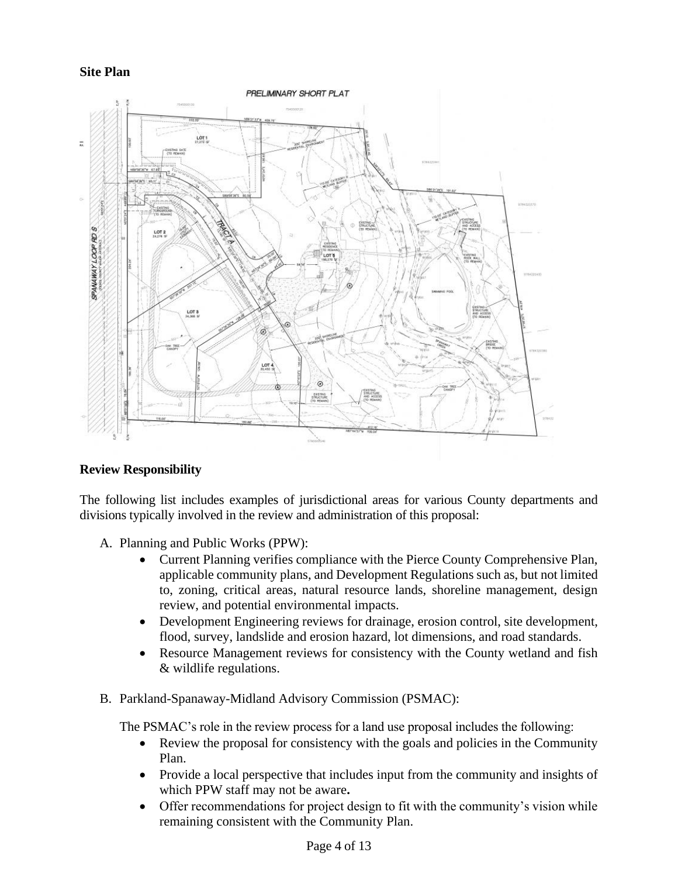#### **Site Plan**



#### **Review Responsibility**

The following list includes examples of jurisdictional areas for various County departments and divisions typically involved in the review and administration of this proposal:

- A. Planning and Public Works (PPW):
	- Current Planning verifies compliance with the Pierce County Comprehensive Plan, applicable community plans, and Development Regulations such as, but not limited to, zoning, critical areas, natural resource lands, shoreline management, design review, and potential environmental impacts.
	- Development Engineering reviews for drainage, erosion control, site development, flood, survey, landslide and erosion hazard, lot dimensions, and road standards.
	- Resource Management reviews for consistency with the County wetland and fish & wildlife regulations.
- B. Parkland-Spanaway-Midland Advisory Commission (PSMAC):

The PSMAC's role in the review process for a land use proposal includes the following:

- Review the proposal for consistency with the goals and policies in the Community Plan.
- Provide a local perspective that includes input from the community and insights of which PPW staff may not be aware**.**
- Offer recommendations for project design to fit with the community's vision while remaining consistent with the Community Plan.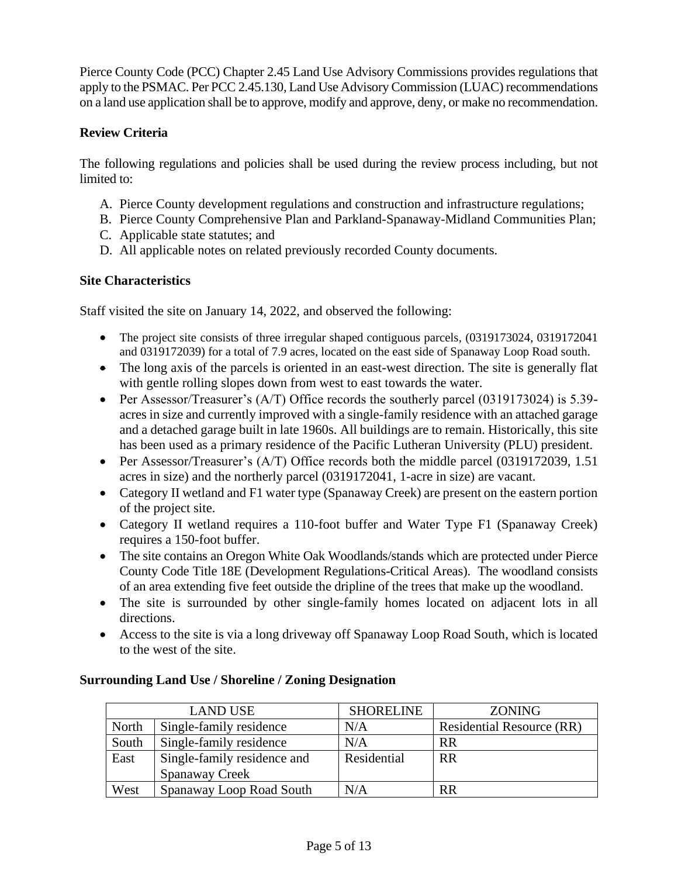Pierce County Code (PCC) Chapter 2.45 Land Use Advisory Commissions provides regulations that apply to the PSMAC. Per PCC 2.45.130, Land Use Advisory Commission (LUAC) recommendations on a land use application shall be to approve, modify and approve, deny, or make no recommendation.

# **Review Criteria**

The following regulations and policies shall be used during the review process including, but not limited to:

- A. Pierce County development regulations and construction and infrastructure regulations;
- B. Pierce County Comprehensive Plan and Parkland-Spanaway-Midland Communities Plan;
- C. Applicable state statutes; and
- D. All applicable notes on related previously recorded County documents.

# **Site Characteristics**

Staff visited the site on January 14, 2022, and observed the following:

- The project site consists of three irregular shaped contiguous parcels, (0319173024, 0319172041) and 0319172039) for a total of 7.9 acres, located on the east side of Spanaway Loop Road south.
- The long axis of the parcels is oriented in an east-west direction. The site is generally flat with gentle rolling slopes down from west to east towards the water.
- Per Assessor/Treasurer's (A/T) Office records the southerly parcel (0319173024) is 5.39acres in size and currently improved with a single-family residence with an attached garage and a detached garage built in late 1960s. All buildings are to remain. Historically, this site has been used as a primary residence of the Pacific Lutheran University (PLU) president.
- Per Assessor/Treasurer's (A/T) Office records both the middle parcel (0319172039, 1.51 acres in size) and the northerly parcel (0319172041, 1-acre in size) are vacant.
- Category II wetland and F1 water type (Spanaway Creek) are present on the eastern portion of the project site.
- Category II wetland requires a 110-foot buffer and Water Type F1 (Spanaway Creek) requires a 150-foot buffer.
- The site contains an Oregon White Oak Woodlands/stands which are protected under Pierce County Code Title 18E (Development Regulations-Critical Areas). The woodland consists of an area extending five feet outside the dripline of the trees that make up the woodland.
- The site is surrounded by other single-family homes located on adjacent lots in all directions.
- Access to the site is via a long driveway off Spanaway Loop Road South, which is located to the west of the site.

# **Surrounding Land Use / Shoreline / Zoning Designation**

|       | <b>LAND USE</b>             | <b>SHORELINE</b> | <b>ZONING</b>                    |
|-------|-----------------------------|------------------|----------------------------------|
| North | Single-family residence     | N/A              | <b>Residential Resource (RR)</b> |
| South | Single-family residence     | N/A              | <b>RR</b>                        |
| East  | Single-family residence and | Residential      | <b>RR</b>                        |
|       | Spanaway Creek              |                  |                                  |
| West  | Spanaway Loop Road South    | N/A              | <b>RR</b>                        |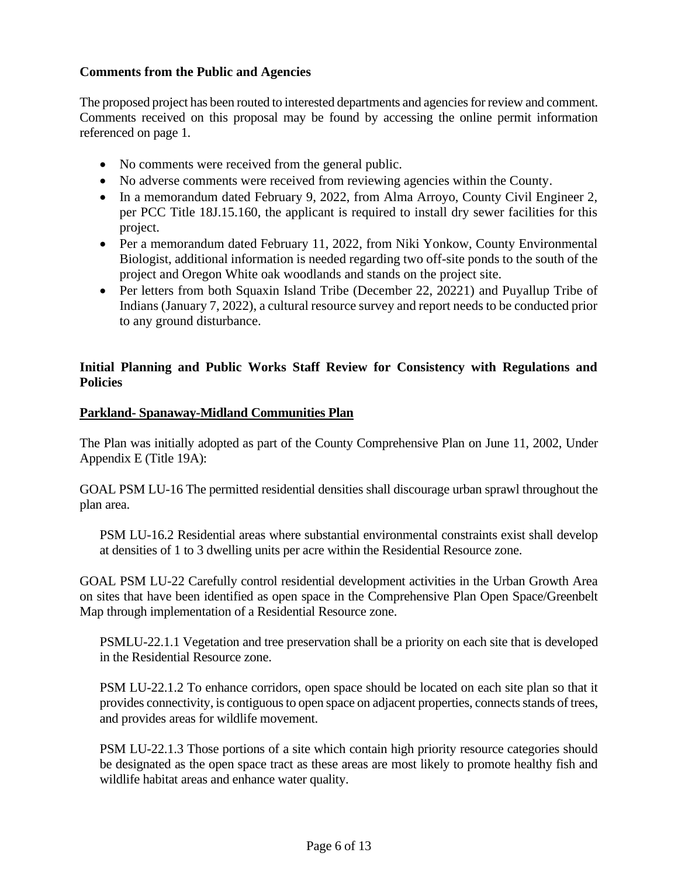#### **Comments from the Public and Agencies**

The proposed project has been routed to interested departments and agencies for review and comment. Comments received on this proposal may be found by accessing the online permit information referenced on page 1.

- No comments were received from the general public.
- No adverse comments were received from reviewing agencies within the County.
- In a memorandum dated February 9, 2022, from Alma Arroyo, County Civil Engineer 2, per PCC Title 18J.15.160, the applicant is required to install dry sewer facilities for this project.
- Per a memorandum dated February 11, 2022, from Niki Yonkow, County Environmental Biologist, additional information is needed regarding two off-site ponds to the south of the project and Oregon White oak woodlands and stands on the project site.
- Per letters from both Squaxin Island Tribe (December 22, 20221) and Puyallup Tribe of Indians (January 7, 2022), a cultural resource survey and report needs to be conducted prior to any ground disturbance.

#### **Initial Planning and Public Works Staff Review for Consistency with Regulations and Policies**

#### **Parkland- Spanaway-Midland Communities Plan**

The Plan was initially adopted as part of the County Comprehensive Plan on June 11, 2002, Under Appendix E (Title 19A):

GOAL PSM LU-16 The permitted residential densities shall discourage urban sprawl throughout the plan area.

PSM LU-16.2 Residential areas where substantial environmental constraints exist shall develop at densities of 1 to 3 dwelling units per acre within the Residential Resource zone.

GOAL PSM LU-22 Carefully control residential development activities in the Urban Growth Area on sites that have been identified as open space in the Comprehensive Plan Open Space/Greenbelt Map through implementation of a Residential Resource zone.

PSMLU-22.1.1 Vegetation and tree preservation shall be a priority on each site that is developed in the Residential Resource zone.

PSM LU-22.1.2 To enhance corridors, open space should be located on each site plan so that it provides connectivity, is contiguous to open space on adjacent properties, connects stands of trees, and provides areas for wildlife movement.

PSM LU-22.1.3 Those portions of a site which contain high priority resource categories should be designated as the open space tract as these areas are most likely to promote healthy fish and wildlife habitat areas and enhance water quality.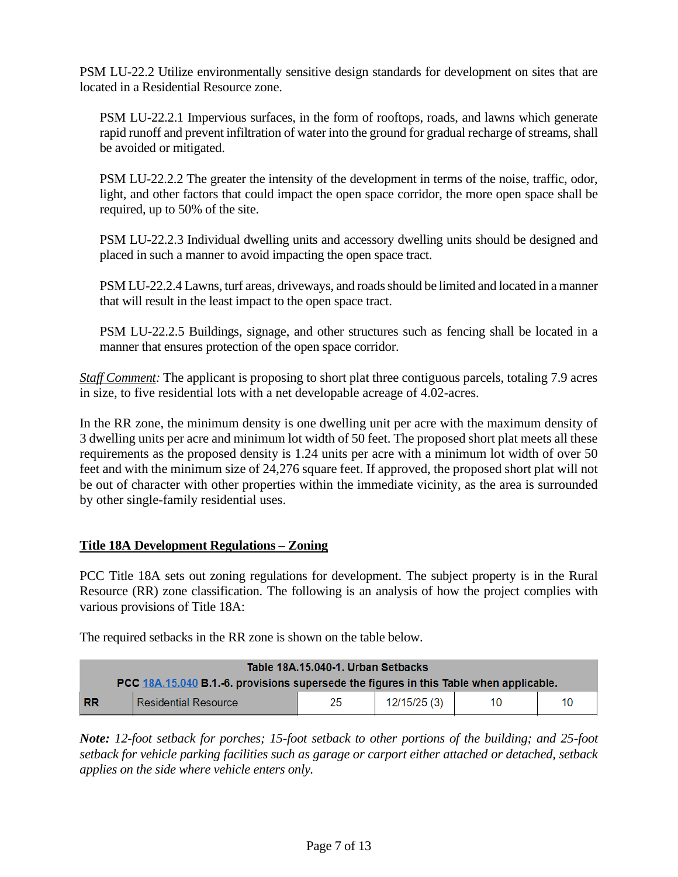PSM LU-22.2 Utilize environmentally sensitive design standards for development on sites that are located in a Residential Resource zone.

PSM LU-22.2.1 Impervious surfaces, in the form of rooftops, roads, and lawns which generate rapid runoff and prevent infiltration of water into the ground for gradual recharge of streams, shall be avoided or mitigated.

PSM LU-22.2.2 The greater the intensity of the development in terms of the noise, traffic, odor, light, and other factors that could impact the open space corridor, the more open space shall be required, up to 50% of the site.

PSM LU-22.2.3 Individual dwelling units and accessory dwelling units should be designed and placed in such a manner to avoid impacting the open space tract.

PSM LU-22.2.4 Lawns, turf areas, driveways, and roads should be limited and located in a manner that will result in the least impact to the open space tract.

PSM LU-22.2.5 Buildings, signage, and other structures such as fencing shall be located in a manner that ensures protection of the open space corridor.

*Staff Comment:* The applicant is proposing to short plat three contiguous parcels, totaling 7.9 acres in size, to five residential lots with a net developable acreage of 4.02-acres.

In the RR zone, the minimum density is one dwelling unit per acre with the maximum density of 3 dwelling units per acre and minimum lot width of 50 feet. The proposed short plat meets all these requirements as the proposed density is 1.24 units per acre with a minimum lot width of over 50 feet and with the minimum size of 24,276 square feet. If approved, the proposed short plat will not be out of character with other properties within the immediate vicinity, as the area is surrounded by other single-family residential uses.

# **Title 18A Development Regulations – Zoning**

PCC Title 18A sets out zoning regulations for development. The subject property is in the Rural Resource (RR) zone classification. The following is an analysis of how the project complies with various provisions of Title 18A:

The required setbacks in the RR zone is shown on the table below.

| Table 18A.15.040-1. Urban Setbacks                                                     |                             |    |              |    |    |
|----------------------------------------------------------------------------------------|-----------------------------|----|--------------|----|----|
| PCC 18A.15.040 B.1.-6. provisions supersede the figures in this Table when applicable. |                             |    |              |    |    |
| <b>RR</b>                                                                              | <b>Residential Resource</b> | 25 | 12/15/25 (3) | 10 | 10 |

*Note: 12-foot setback for porches; 15-foot setback to other portions of the building; and 25-foot setback for vehicle parking facilities such as garage or carport either attached or detached, setback applies on the side where vehicle enters only.*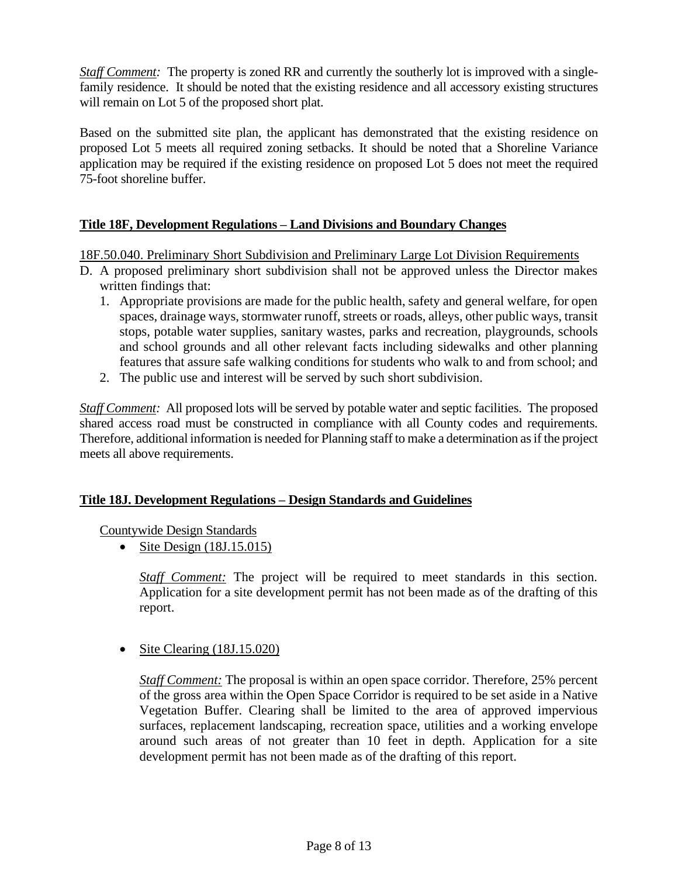*Staff Comment:* The property is zoned RR and currently the southerly lot is improved with a singlefamily residence. It should be noted that the existing residence and all accessory existing structures will remain on Lot 5 of the proposed short plat.

Based on the submitted site plan, the applicant has demonstrated that the existing residence on proposed Lot 5 meets all required zoning setbacks. It should be noted that a Shoreline Variance application may be required if the existing residence on proposed Lot 5 does not meet the required 75-foot shoreline buffer.

# **Title 18F, Development Regulations – Land Divisions and Boundary Changes**

18F.50.040. Preliminary Short Subdivision and Preliminary Large Lot Division Requirements

- D. A proposed preliminary short subdivision shall not be approved unless the Director makes written findings that:
	- 1. Appropriate provisions are made for the public health, safety and general welfare, for open spaces, drainage ways, stormwater runoff, streets or roads, alleys, other public ways, transit stops, potable water supplies, sanitary wastes, parks and recreation, playgrounds, schools and school grounds and all other relevant facts including sidewalks and other planning features that assure safe walking conditions for students who walk to and from school; and
	- 2. The public use and interest will be served by such short subdivision.

*Staff Comment:* All proposed lots will be served by potable water and septic facilities. The proposed shared access road must be constructed in compliance with all County codes and requirements. Therefore, additional information is needed for Planning staff to make a determination as if the project meets all above requirements.

#### **Title 18J. Development Regulations – Design Standards and Guidelines**

Countywide Design Standards

• Site Design  $(18J.15.015)$ 

*Staff Comment:* The project will be required to meet standards in this section. Application for a site development permit has not been made as of the drafting of this report.

• Site Clearing (18J.15.020)

*Staff Comment:* The proposal is within an open space corridor. Therefore, 25% percent of the gross area within the Open Space Corridor is required to be set aside in a Native Vegetation Buffer. Clearing shall be limited to the area of approved impervious surfaces, replacement landscaping, recreation space, utilities and a working envelope around such areas of not greater than 10 feet in depth. Application for a site development permit has not been made as of the drafting of this report.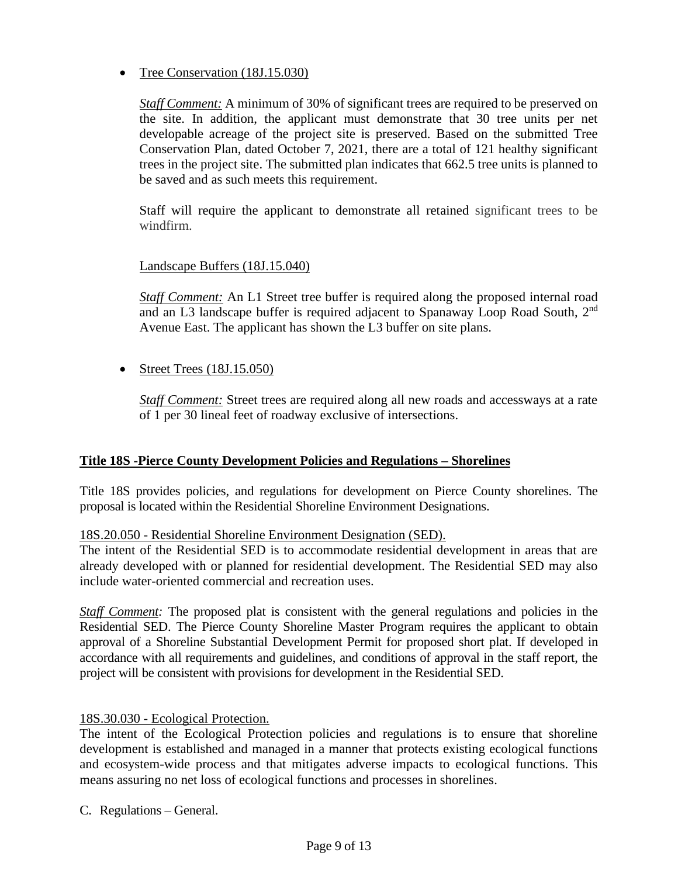• Tree Conservation (18J.15.030)

*Staff Comment:* A minimum of 30% of significant trees are required to be preserved on the site. In addition, the applicant must demonstrate that 30 tree units per net developable acreage of the project site is preserved. Based on the submitted Tree Conservation Plan, dated October 7, 2021, there are a total of 121 healthy significant trees in the project site. The submitted plan indicates that 662.5 tree units is planned to be saved and as such meets this requirement.

Staff will require the applicant to demonstrate all retained significant trees to be windfirm.

#### Landscape Buffers (18J.15.040)

*Staff Comment:* An L1 Street tree buffer is required along the proposed internal road and an L3 landscape buffer is required adjacent to Spanaway Loop Road South, 2<sup>nd</sup> Avenue East. The applicant has shown the L3 buffer on site plans.

• Street Trees  $(18J.15.050)$ 

*Staff Comment:* Street trees are required along all new roads and accessways at a rate of 1 per 30 lineal feet of roadway exclusive of intersections.

# **Title 18S -Pierce County Development Policies and Regulations – Shorelines**

Title 18S provides policies, and regulations for development on Pierce County shorelines. The proposal is located within the Residential Shoreline Environment Designations.

#### 18S.20.050 - Residential Shoreline Environment Designation (SED).

The intent of the Residential SED is to accommodate residential development in areas that are already developed with or planned for residential development. The Residential SED may also include water-oriented commercial and recreation uses.

*Staff Comment:* The proposed plat is consistent with the general regulations and policies in the Residential SED. The Pierce County Shoreline Master Program requires the applicant to obtain approval of a Shoreline Substantial Development Permit for proposed short plat. If developed in accordance with all requirements and guidelines, and conditions of approval in the staff report, the project will be consistent with provisions for development in the Residential SED.

#### 18S.30.030 - Ecological Protection.

The intent of the Ecological Protection policies and regulations is to ensure that shoreline development is established and managed in a manner that protects existing ecological functions and ecosystem-wide process and that mitigates adverse impacts to ecological functions. This means assuring no net loss of ecological functions and processes in shorelines.

C. Regulations – General.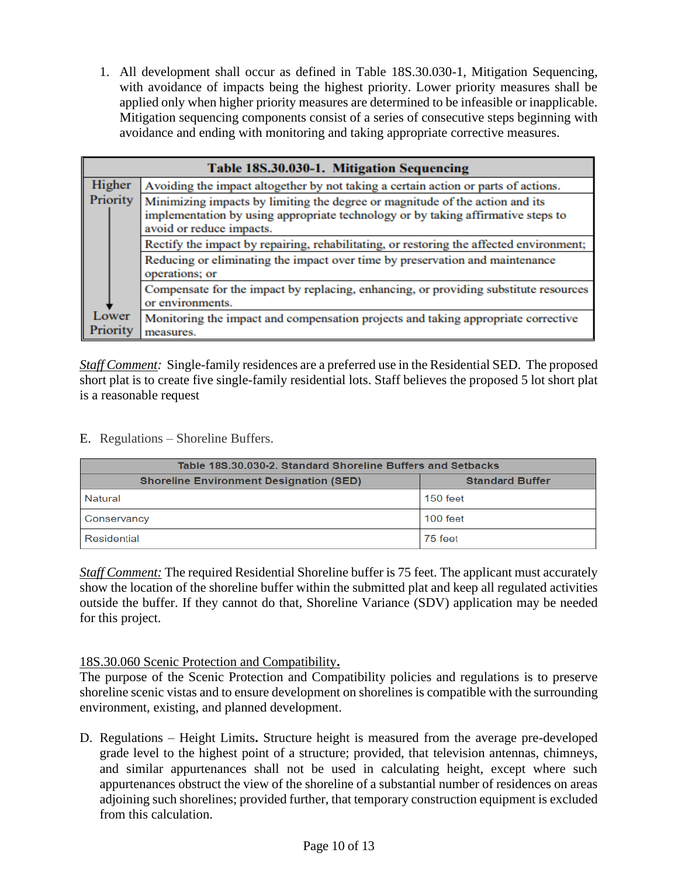1. All development shall occur as defined in Table 18S.30.030-1, Mitigation Sequencing, with avoidance of impacts being the highest priority. Lower priority measures shall be applied only when higher priority measures are determined to be infeasible or inapplicable. Mitigation sequencing components consist of a series of consecutive steps beginning with avoidance and ending with monitoring and taking appropriate corrective measures.

| Table 18S.30.030-1. Mitigation Sequencing |                                                                                                                                                                                              |  |  |  |
|-------------------------------------------|----------------------------------------------------------------------------------------------------------------------------------------------------------------------------------------------|--|--|--|
| Higher                                    | Avoiding the impact altogether by not taking a certain action or parts of actions.                                                                                                           |  |  |  |
| Priority                                  | Minimizing impacts by limiting the degree or magnitude of the action and its<br>implementation by using appropriate technology or by taking affirmative steps to<br>avoid or reduce impacts. |  |  |  |
|                                           | Rectify the impact by repairing, rehabilitating, or restoring the affected environment;                                                                                                      |  |  |  |
|                                           | Reducing or eliminating the impact over time by preservation and maintenance<br>operations; or                                                                                               |  |  |  |
|                                           | Compensate for the impact by replacing, enhancing, or providing substitute resources<br>or environments.                                                                                     |  |  |  |
| Lower<br>Priority                         | Monitoring the impact and compensation projects and taking appropriate corrective<br>measures.                                                                                               |  |  |  |

*Staff Comment:* Single-family residences are a preferred use in the Residential SED. The proposed short plat is to create five single-family residential lots. Staff believes the proposed 5 lot short plat is a reasonable request

E. Regulations – Shoreline Buffers.

| Table 18S.30.030-2. Standard Shoreline Buffers and Setbacks |                        |  |  |
|-------------------------------------------------------------|------------------------|--|--|
| <b>Shoreline Environment Designation (SED)</b>              | <b>Standard Buffer</b> |  |  |
| Natural                                                     | 150 feet               |  |  |
| Conservancy                                                 | $100$ feet             |  |  |
| Residential                                                 | 75 feet                |  |  |

*Staff Comment:* The required Residential Shoreline buffer is 75 feet. The applicant must accurately show the location of the shoreline buffer within the submitted plat and keep all regulated activities outside the buffer. If they cannot do that, Shoreline Variance (SDV) application may be needed for this project.

# 18S.30.060 Scenic Protection and Compatibility**.**

The purpose of the Scenic Protection and Compatibility policies and regulations is to preserve shoreline scenic vistas and to ensure development on shorelines is compatible with the surrounding environment, existing, and planned development.

D. Regulations – Height Limits**.** Structure height is measured from the average pre-developed grade level to the highest point of a structure; provided, that television antennas, chimneys, and similar appurtenances shall not be used in calculating height, except where such appurtenances obstruct the view of the shoreline of a substantial number of residences on areas adjoining such shorelines; provided further, that temporary construction equipment is excluded from this calculation.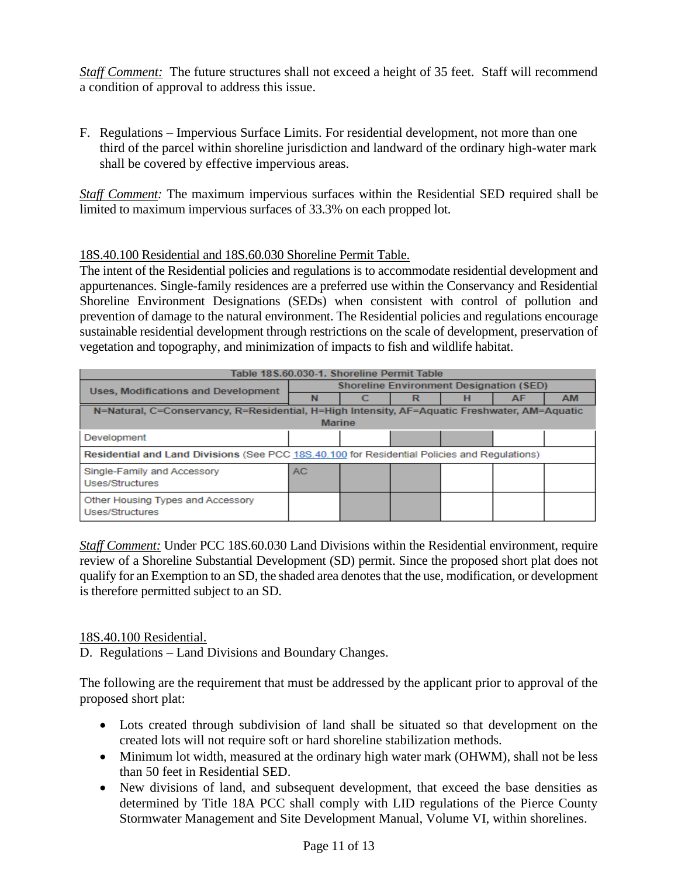*Staff Comment:* The future structures shall not exceed a height of 35 feet. Staff will recommend a condition of approval to address this issue.

F. Regulations – Impervious Surface Limits. For residential development, not more than one third of the parcel within shoreline jurisdiction and landward of the ordinary high-water mark shall be covered by effective impervious areas.

*Staff Comment:* The maximum impervious surfaces within the Residential SED required shall be limited to maximum impervious surfaces of 33.3% on each propped lot.

#### 18S.40.100 Residential and 18S.60.030 Shoreline Permit Table.

The intent of the Residential policies and regulations is to accommodate residential development and appurtenances. Single-family residences are a preferred use within the Conservancy and Residential Shoreline Environment Designations (SEDs) when consistent with control of pollution and prevention of damage to the natural environment. The Residential policies and regulations encourage sustainable residential development through restrictions on the scale of development, preservation of vegetation and topography, and minimization of impacts to fish and wildlife habitat.

| Table 18 S.60.030-1. Shoreline Permit Table                                                  |                                                |  |  |  |    |           |
|----------------------------------------------------------------------------------------------|------------------------------------------------|--|--|--|----|-----------|
| <b>Uses, Modifications and Development</b>                                                   | <b>Shoreline Environment Designation (SED)</b> |  |  |  |    |           |
|                                                                                              |                                                |  |  |  | AF | <b>AM</b> |
| N=Natural, C=Conservancy, R=Residential, H=High Intensity, AF=Aquatic Freshwater, AM=Aquatic |                                                |  |  |  |    |           |
| <b>Marine</b>                                                                                |                                                |  |  |  |    |           |
| Development                                                                                  |                                                |  |  |  |    |           |
| Residential and Land Divisions (See PCC 18S.40.100 for Residential Policies and Regulations) |                                                |  |  |  |    |           |
| Single-Family and Accessory<br>Uses/Structures                                               | <b>AC</b>                                      |  |  |  |    |           |
| Other Housing Types and Accessory<br>Uses/Structures                                         |                                                |  |  |  |    |           |

*Staff Comment:* Under PCC 18S.60.030 Land Divisions within the Residential environment, require review of a Shoreline Substantial Development (SD) permit. Since the proposed short plat does not qualify for an Exemption to an SD, the shaded area denotes that the use, modification, or development is therefore permitted subject to an SD.

#### 18S.40.100 Residential.

D. Regulations – Land Divisions and Boundary Changes.

The following are the requirement that must be addressed by the applicant prior to approval of the proposed short plat:

- Lots created through subdivision of land shall be situated so that development on the created lots will not require soft or hard shoreline stabilization methods.
- Minimum lot width, measured at the ordinary high water mark (OHWM), shall not be less than 50 feet in Residential SED.
- New divisions of land, and subsequent development, that exceed the base densities as determined by Title 18A PCC shall comply with LID regulations of the Pierce County Stormwater Management and Site Development Manual, Volume VI, within shorelines.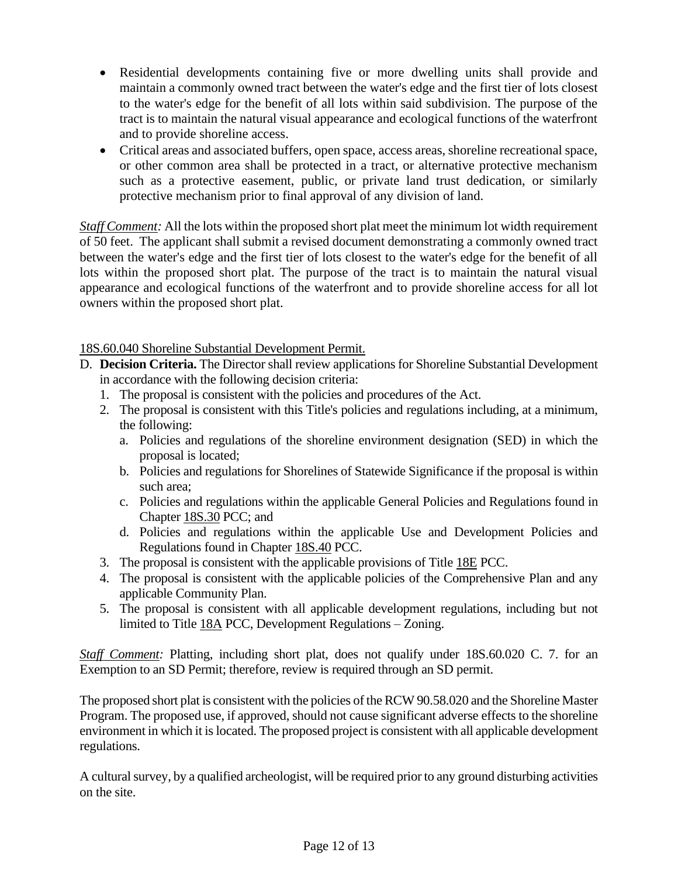- Residential developments containing five or more dwelling units shall provide and maintain a commonly owned tract between the water's edge and the first tier of lots closest to the water's edge for the benefit of all lots within said subdivision. The purpose of the tract is to maintain the natural visual appearance and ecological functions of the waterfront and to provide shoreline access.
- Critical areas and associated buffers, open space, access areas, shoreline recreational space, or other common area shall be protected in a tract, or alternative protective mechanism such as a protective easement, public, or private land trust dedication, or similarly protective mechanism prior to final approval of any division of land.

*Staff Comment:* All the lots within the proposed short plat meet the minimum lot width requirement of 50 feet. The applicant shall submit a revised document demonstrating a commonly owned tract between the water's edge and the first tier of lots closest to the water's edge for the benefit of all lots within the proposed short plat. The purpose of the tract is to maintain the natural visual appearance and ecological functions of the waterfront and to provide shoreline access for all lot owners within the proposed short plat.

# 18S.60.040 Shoreline Substantial Development Permit.

- D. **Decision Criteria.** The Director shall review applications for Shoreline Substantial Development in accordance with the following decision criteria:
	- 1. The proposal is consistent with the policies and procedures of the Act.
	- 2. The proposal is consistent with this Title's policies and regulations including, at a minimum, the following:
		- a. Policies and regulations of the shoreline environment designation (SED) in which the proposal is located;
		- b. Policies and regulations for Shorelines of Statewide Significance if the proposal is within such area;
		- c. Policies and regulations within the applicable General Policies and Regulations found in Chapter [18S.30](https://www.codepublishing.com/WA/PierceCounty/#!/PierceCounty18S/PierceCounty18S30.html#18S.30) PCC; and
		- d. Policies and regulations within the applicable Use and Development Policies and Regulations found in Chapter [18S.40](https://www.codepublishing.com/WA/PierceCounty/#!/PierceCounty18S/PierceCounty18S40.html#18S.40) PCC.
	- 3. The proposal is consistent with the applicable provisions of Title [18E](https://www.codepublishing.com/WA/PierceCounty/#!/PierceCounty18E/PierceCounty18E.html#18E) PCC.
	- 4. The proposal is consistent with the applicable policies of the Comprehensive Plan and any applicable Community Plan.
	- 5. The proposal is consistent with all applicable development regulations, including but not limited to Title [18A](https://www.codepublishing.com/WA/PierceCounty/#!/PierceCounty18A/PierceCounty18A.html#18A) PCC, Development Regulations – Zoning.

*Staff Comment:* Platting, including short plat, does not qualify under 18S.60.020 C. 7. for an Exemption to an SD Permit; therefore, review is required through an SD permit.

The proposed short plat is consistent with the policies of the RCW 90.58.020 and the Shoreline Master Program. The proposed use, if approved, should not cause significant adverse effects to the shoreline environment in which it is located. The proposed project is consistent with all applicable development regulations.

A cultural survey, by a qualified archeologist, will be required prior to any ground disturbing activities on the site.